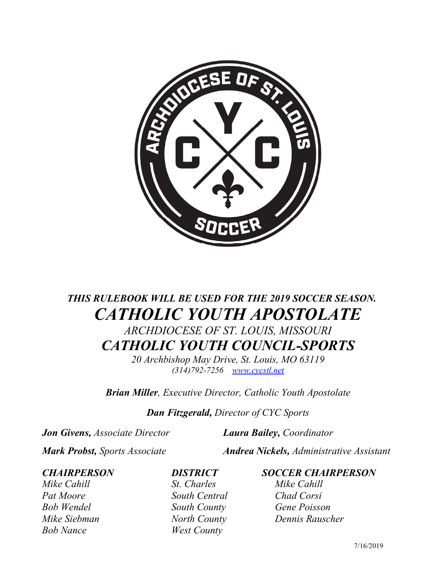

# THIS RULEBOOK WILL BE USED FOR THE 2019 SOCCER SEASON. CATHOLIC YOUTH APOSTOLATE

CATHOLIC YOUTH COUNCIL-SPORTS

20 Archbishop May Drive, St. Louis, MO 63119 (314)792-7256 www.cycstl.net

Brian Miller, Executive Director, Catholic Youth Apostolate

Dan Fitzgerald, Director of CYC Sports

**Jon Givens, Associate Director Laura Bailey, Coordinator** 

Mark Probst, Sports Associate Andrea Nickels, Administrative Assistant

Mike Cahill St. Charles Mike Cahill Pat Moore South Central Chad Corsi Bob Wendel South County Gene Poisson Bob Nance West County

## CHAIRPERSON DISTRICT SOCCER CHAIRPERSON

Mike Siebman North County Dennis Rauscher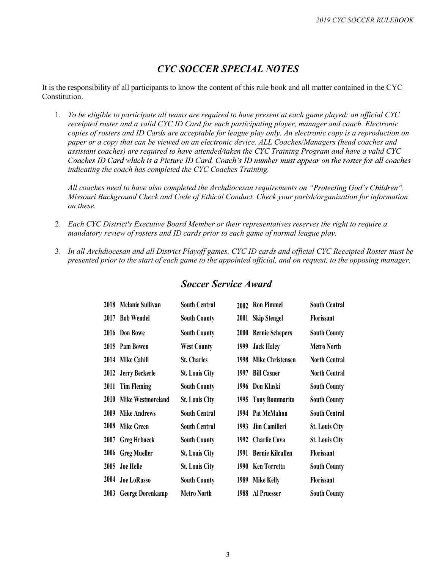## CYC SOCCER SPECIAL NOTES

It is the responsibility of all participants to know the content of this rule book and all matter contained in the CYC Constitution.

1. To be eligible to participate all teams are required to have present at each game played: an official CYC receipted roster and a valid CYC ID Card for each participating player, manager and coach. Electronic copies of rosters and ID Cards are acceptable for league play only. An electronic copy is a reproduction on paper or a copy that can be viewed on an electronic device. ALL Coaches/Managers (head coaches and assistant coaches) are required to have attended/taken the CYC Training Program and have a valid CYC indicating the coach has completed the CYC Coaches Training. Source and an avalial CYC ID Card for each participating player, manager and coach. Electronic<br>soters and ID Cards are acceptable for league play only. An electronic copy is a reproduction on<br>copy that can be viewed on an

All coaches need to have also completed the Archdiocesan requirements on "Protecting God's Children", Missouri Background Check and Code of Ethical Conduct. Check your parish/organization for information on these.

- 2. Each CYC District's Executive Board Member or their representatives reserves the right to require a mandatory review of rosters and ID cards prior to each game of normal league play.
- 3. In all Archdiocesan and all District Playoff games, CYC ID cards and official CYC Receipted Roster must be presented prior to the start of each game to the appointed official, and on request, to the opposing manager.

| the coach has completed the CYC Coaches Training.                                                                                                                                          |                       |  |                       | osters and ID Cards are acceptable for league play only. An electronic copy is a reproduction on<br>copy that can be viewed on an electronic device. ALL Coaches/Managers (head coaches and<br>paches) are required to have attended/taken the CYC Training Program and have a valid CYC<br>O Card which is a Picture ID Card. Coach's ID number must appear on the roster for all coaches |  |  |  |
|--------------------------------------------------------------------------------------------------------------------------------------------------------------------------------------------|-----------------------|--|-----------------------|--------------------------------------------------------------------------------------------------------------------------------------------------------------------------------------------------------------------------------------------------------------------------------------------------------------------------------------------------------------------------------------------|--|--|--|
| s need to have also completed the Archdiocesan requirements on "Protecting God's Children",<br>ackground Check and Code of Ethical Conduct. Check your parish/organization for information |                       |  |                       |                                                                                                                                                                                                                                                                                                                                                                                            |  |  |  |
| review of rosters and ID cards prior to each game of normal league play.                                                                                                                   |                       |  |                       | District's Executive Board Member or their representatives reserves the right to require a                                                                                                                                                                                                                                                                                                 |  |  |  |
|                                                                                                                                                                                            |                       |  |                       | diocesan and all District Playoff games, CYC ID cards and official CYC Receipted Roster must be<br>vrior to the start of each game to the appointed official, and on request, to the opposing manager.                                                                                                                                                                                     |  |  |  |
| <b>Soccer Service Award</b>                                                                                                                                                                |                       |  |                       |                                                                                                                                                                                                                                                                                                                                                                                            |  |  |  |
| 2018 Melanie Sullivan                                                                                                                                                                      | <b>South Central</b>  |  | 2002 Ron Pimmel       | <b>South Central</b>                                                                                                                                                                                                                                                                                                                                                                       |  |  |  |
| 2017 Bob Wendel                                                                                                                                                                            | <b>South County</b>   |  | 2001 Skip Stengel     | Florissant                                                                                                                                                                                                                                                                                                                                                                                 |  |  |  |
| 2016 Don Bowe                                                                                                                                                                              | <b>South County</b>   |  | 2000 Bernie Schepers  | <b>South County</b>                                                                                                                                                                                                                                                                                                                                                                        |  |  |  |
| 2015 Pam Bowen                                                                                                                                                                             | <b>West County</b>    |  | 1999 Jack Haley       | <b>Metro North</b>                                                                                                                                                                                                                                                                                                                                                                         |  |  |  |
| 2014 Mike Cahill                                                                                                                                                                           | <b>St. Charles</b>    |  | 1998 Mike Christensen | <b>North Central</b>                                                                                                                                                                                                                                                                                                                                                                       |  |  |  |
| 2012 Jerry Beckerle                                                                                                                                                                        | <b>St. Louis City</b> |  | 1997 Bill Casner      | <b>North Central</b>                                                                                                                                                                                                                                                                                                                                                                       |  |  |  |
| 2011 Tim Fleming                                                                                                                                                                           | <b>South County</b>   |  | 1996 Don Klaski       | <b>South County</b>                                                                                                                                                                                                                                                                                                                                                                        |  |  |  |
| 2010 Mike Westmoreland                                                                                                                                                                     | <b>St. Louis City</b> |  | 1995 Tony Bommarito   | <b>South County</b>                                                                                                                                                                                                                                                                                                                                                                        |  |  |  |
| 2009 Mike Andrews                                                                                                                                                                          | <b>South Central</b>  |  | 1994 Pat McMahon      | <b>South Central</b>                                                                                                                                                                                                                                                                                                                                                                       |  |  |  |
| 2008 Mike Green                                                                                                                                                                            | <b>South Central</b>  |  | 1993 Jim Camilleri    | <b>St. Louis City</b>                                                                                                                                                                                                                                                                                                                                                                      |  |  |  |
| 2007 Greg Hrbacek                                                                                                                                                                          | <b>South County</b>   |  | 1992 Charlie Cova     | <b>St. Louis City</b>                                                                                                                                                                                                                                                                                                                                                                      |  |  |  |
| 2006 Greg Mueller                                                                                                                                                                          | <b>St. Louis City</b> |  | 1991 Bernie Kilcullen | <b>Florissant</b>                                                                                                                                                                                                                                                                                                                                                                          |  |  |  |
| 2005 Joe Helle                                                                                                                                                                             | <b>St. Louis City</b> |  | 1990 Ken Torretta     | <b>South County</b>                                                                                                                                                                                                                                                                                                                                                                        |  |  |  |
| 2004 Joe LoRusso                                                                                                                                                                           | <b>South County</b>   |  | 1989 Mike Kelly       | Florissant                                                                                                                                                                                                                                                                                                                                                                                 |  |  |  |
| 2003 George Dorenkamp                                                                                                                                                                      | <b>Metro North</b>    |  | 1988 Al Pruesser      | <b>South County</b>                                                                                                                                                                                                                                                                                                                                                                        |  |  |  |

### Soccer Service Award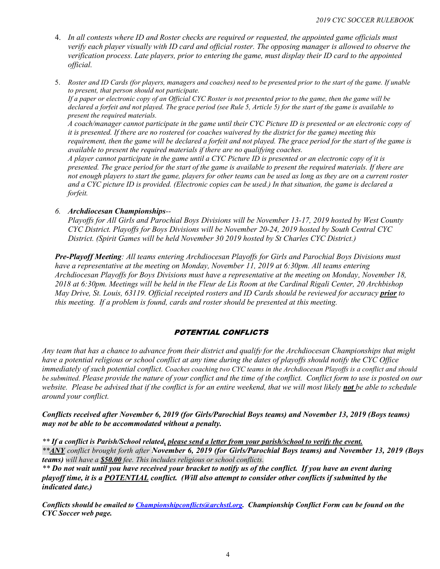- 2019 CYC SOCCER RULEBOOK<br>pinted game officials must<br>ager is allowed to observe the<br>ir ID card to the appointed 4. In all contests where ID and Roster checks are required or requested, the appointed game officials must verify each player visually with ID card and official roster. The opposing manager is allowed to observe the verification process. Late players, prior to entering the game, must display their ID card to the appointed official.
- 5. Roster and ID Cards (for players, managers and coaches) need to be presented prior to the start of the game. If unable to present, that person should not participate.

If a paper or electronic copy of an Official CYC Roster is not presented prior to the game, then the game will be declared a forfeit and not played. The grace period (see Rule 5, Article 5) for the start of the game is available to present the required materials.

A coach/manager cannot participate in the game until their CYC Picture ID is presented or an electronic copy of it is presented. If there are no rostered (or coaches waivered by the district for the game) meeting this requirement, then the game will be declared a forfeit and not played. The grace period for the start of the game is available to present the required materials if there are no qualifying coaches.

A player cannot participate in the game until a CYC Picture ID is presented or an electronic copy of it is presented. The grace period for the start of the game is available to present the required materials. If there are not enough players to start the game, players for other teams can be used as long as they are on a current roster and a CYC picture ID is provided. (Electronic copies can be used.) In that situation, the game is declared a forfeit.

6. Archdiocesan Championships-- Playoffs for All Girls and Parochial Boys Divisions will be November 13-17, 2019 hosted by West County CYC District. Playoffs for Boys Divisions will be November 20-24, 2019 hosted by South Central CYC District. (Spirit Games will be held November 30 2019 hosted by St Charles CYC District.)

Pre-Playoff Meeting: All teams entering Archdiocesan Playoffs for Girls and Parochial Boys Divisions must have a representative at the meeting on Monday, November 11, 2019 at 6:30pm. All teams entering Archdiocesan Playoffs for Boys Divisions must have a representative at the meeting on Monday, November 18, 2018 at 6:30pm. Meetings will be held in the Fleur de Lis Room at the Cardinal Rigali Center, 20 Archbishop May Drive, St. Louis, 63119. Official receipted rosters and ID Cards should be reviewed for accuracy prior to this meeting. If a problem is found, cards and roster should be presented at this meeting.

### **POTENTIAL CONFLICTS**

Any team that has a chance to advance from their district and qualify for the Archdiocesan Championships that might have a potential religious or school conflict at any time during the dates of playoffs should notify the CYC Office immediately of such potential conflict. Coaches coaching two CYC teams in the Archdiocesan Playoffs is a conflict and should be submitted. Please provide the nature of your conflict and the time of the conflict. Conflict form to use is posted on our website. Please be advised that if the conflict is for an entire weekend, that we will most likely not be able to schedule around your conflict.

Conflicts received after November 6, 2019 (for Girls/Parochial Boys teams) and November 13, 2019 (Boys teams) may not be able to be accommodated without a penalty.

\*\* If a conflict is Parish/School related, please send a letter from your parish/school to verify the event. \*\*ANY conflict brought forth after November 6, 2019 (for Girls/Parochial Boys teams) and November 13, 2019 (Boys teams) will have a \$50.00 fee. This includes religious or school conflicts.

\*\* Do not wait until you have received your bracket to notify us of the conflict. If you have an event during playoff time, it is a POTENTIAL conflict. (Will also attempt to consider other conflicts if submitted by the indicated date.)

Conflicts should be emailed to *Championshipconflicts@archstl.org.* Championship Conflict Form can be found on the CYC Soccer web page.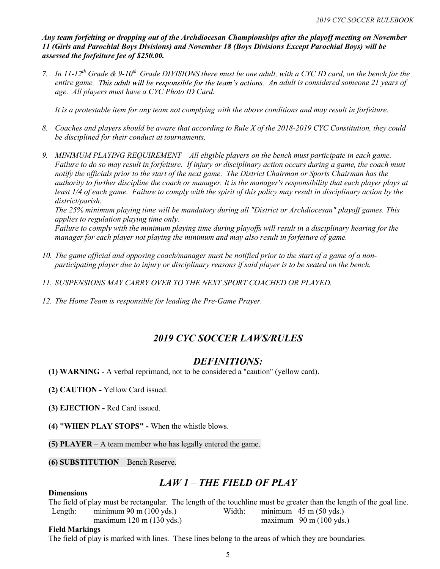2019 CYC SOCCER RULEBOOK<br>layoff meeting on November<br>arochial Boys) will be Any team forfeiting or dropping out of the Archdiocesan Championships after the playoff meeting on November 2019 CYC SOCCER RULEBOOK<br> **Any team forfeiting or dropping out of the Archdiocesan Championships after the playoff meeting on November<br>
11 (Girls and Parochial Boys Divisions) and November 18 (Boys Divisions Except Paroch** assessed the forfeiture fee of \$250.00.

7. In 11-12<sup>th</sup> Grade & 9-10<sup>th</sup> Grade DIVISIONS there must be one adult, with a CYC ID card, on the bench for the entire game. This adult will be responsible for the team's actions. An adult is considered someone 21 years of age. All players must have a CYC Photo ID Card.

It is a protestable item for any team not complying with the above conditions and may result in forfeiture.

- 8. Coaches and players should be aware that according to Rule X of the 2018-2019 CYC Constitution, they could be disciplined for their conduct at tournaments.
- 9. MINIMUM PLAYING REQUIREMENT All eligible players on the bench must participate in each game. Failure to do so may result in forfeiture. If injury or disciplinary action occurs during a game, the coach must notify the officials prior to the start of the next game. The District Chairman or Sports Chairman has the authority to further discipline the coach or manager. It is the manager's responsibility that each player plays at least 1/4 of each game. Failure to comply with the spirit of this policy may result in disciplinary action by the district/parish.

The 25% minimum playing time will be mandatory during all "District or Archdiocesan" playoff games. This applies to regulation playing time only.

Failure to comply with the minimum playing time during playoffs will result in a disciplinary hearing for the manager for each player not playing the minimum and may also result in forfeiture of game.

- 10. The game official and opposing coach/manager must be notified prior to the start of a game of a nonparticipating player due to injury or disciplinary reasons if said player is to be seated on the bench.
- 11. SUSPENSIONS MAY CARRY OVER TO THE NEXT SPORT COACHED OR PLAYED.
- 12. The Home Team is responsible for leading the Pre-Game Prayer.

## 2019 CYC SOCCER LAWS/RULES

### DEFINITIONS:

- (1) WARNING A verbal reprimand, not to be considered a "caution" (yellow card).
- (2) CAUTION Yellow Card issued.
- (3) EJECTION Red Card issued.
- (4) "WHEN PLAY STOPS" When the whistle blows.
- (5) PLAYER  $-$  A team member who has legally entered the game.
- (6) SUBSTITUTION Bench Reserve.

## $LAW$  1 – THE FIELD OF PLAY

#### **Dimensions**

The field of play must be rectangular. The length of the touchline must be greater than the length of the goal line. Length: minimum 90 m (100 yds.) Width: minimum 45 m (50 yds.) maximum 120 m (130 yds.) maximum 90 m (100 yds.)

Field Markings<br>The field of play is marked with lines. These lines belong to the areas of which they are boundaries.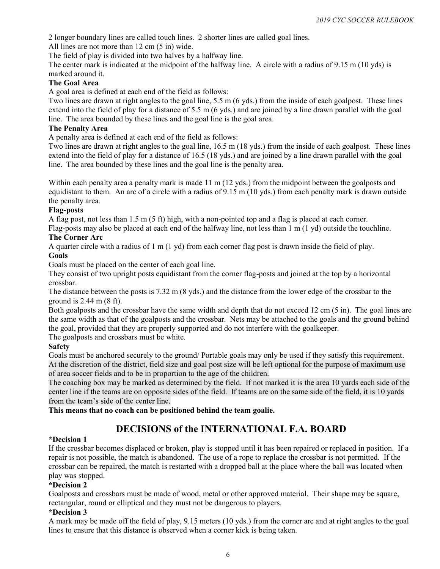2 longer boundary lines are called touch lines. 2 shorter lines are called goal lines.

All lines are not more than 12 cm (5 in) wide.

The field of play is divided into two halves by a halfway line.

The center mark is indicated at the midpoint of the halfway line. A circle with a radius of 9.15 m (10 yds) is marked around it.

### The Goal Area

A goal area is defined at each end of the field as follows:

Two lines are drawn at right angles to the goal line, 5.5 m (6 yds.) from the inside of each goalpost. These lines extend into the field of play for a distance of 5.5 m (6 yds.) and are joined by a line drawn parallel with the goal line. The area bounded by these lines and the goal line is the goal area.

#### The Penalty Area

A penalty area is defined at each end of the field as follows:

Two lines are drawn at right angles to the goal line, 16.5 m (18 yds.) from the inside of each goalpost. These lines extend into the field of play for a distance of 16.5 (18 yds.) and are joined by a line drawn parallel with the goal line. The area bounded by these lines and the goal line is the penalty area.

Within each penalty area a penalty mark is made 11 m (12 yds.) from the midpoint between the goalposts and equidistant to them. An arc of a circle with a radius of 9.15 m (10 yds.) from each penalty mark is drawn outside the penalty area.

#### Flag-posts

A flag post, not less than 1.5 m (5 ft) high, with a non-pointed top and a flag is placed at each corner.

Flag-posts may also be placed at each end of the halfway line, not less than 1 m (1 yd) outside the touchline. The Corner Arc

A quarter circle with a radius of  $1 \text{ m}$  (1 yd) from each corner flag post is drawn inside the field of play.

### Goals

Goals must be placed on the center of each goal line.

They consist of two upright posts equidistant from the corner flag-posts and joined at the top by a horizontal crossbar.

The distance between the posts is 7.32 m (8 yds.) and the distance from the lower edge of the crossbar to the ground is  $2.44 \text{ m} (8 \text{ ft})$ .

Both goalposts and the crossbar have the same width and depth that do not exceed 12 cm (5 in). The goal lines are the same width as that of the goalposts and the crossbar. Nets may be attached to the goals and the ground behind the goal, provided that they are properly supported and do not interfere with the goalkeeper.

The goalposts and crossbars must be white.

#### **Safety**

Goals must be anchored securely to the ground/ Portable goals may only be used if they satisfy this requirement. At the discretion of the district, field size and goal post size will be left optional for the purpose of maximum use of area soccer fields and to be in proportion to the age of the children.

The coaching box may be marked as determined by the field. If not marked it is the area 10 yards each side of the center line if the teams are on opposite sides of the field. If teams are on the same side of the field, it is 10 yards from the team's side of the center line.

This means that no coach can be positioned behind the team goalie.

## DECISIONS of the INTERNATIONAL F.A. BOARD

#### \*Decision 1

If the crossbar becomes displaced or broken, play is stopped until it has been repaired or replaced in position. If a repair is not possible, the match is abandoned. The use of a rope to replace the crossbar is not permitted. If the crossbar can be repaired, the match is restarted with a dropped ball at the place where the ball was located when play was stopped.

#### \*Decision 2

Goalposts and crossbars must be made of wood, metal or other approved material. Their shape may be square, rectangular, round or elliptical and they must not be dangerous to players.

#### \*Decision 3

A mark may be made off the field of play, 9.15 meters (10 yds.) from the corner arc and at right angles to the goal lines to ensure that this distance is observed when a corner kick is being taken.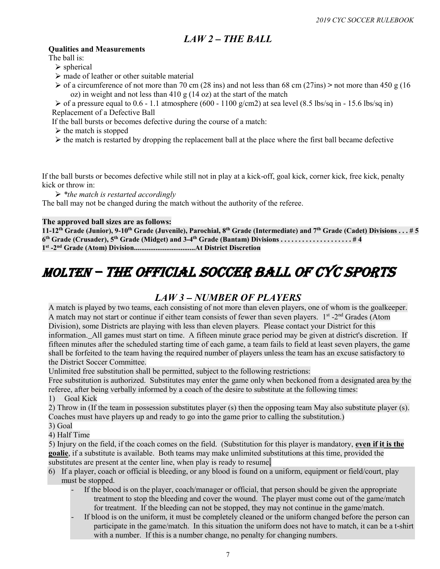## $LAW$  2 – THE BALL

#### Qualities and Measurements

The ball is:

- $\triangleright$  spherical
- $\triangleright$  made of leather or other suitable material
- $\geq$  of a circumference of not more than 70 cm (28 ins) and not less than 68 cm (27ins)  $\geq$  not more than 450 g (16 oz) in weight and not less than  $410 \text{ g}$  (14 oz) at the start of the match

 $\geq$  of a pressure equal to 0.6 - 1.1 atmosphere (600 - 1100 g/cm2) at sea level (8.5 lbs/sq in - 15.6 lbs/sq in) Replacement of a Defective Ball

If the ball bursts or becomes defective during the course of a match:

- $\triangleright$  the match is stopped
- $\triangleright$  the match is restarted by dropping the replacement ball at the place where the first ball became defective

If the ball bursts or becomes defective while still not in play at a kick-off, goal kick, corner kick, free kick, penalty kick or throw in:

 $\triangleright$  \*the match is restarted accordingly

The ball may not be changed during the match without the authority of the referee.

#### The approved ball sizes are as follows:

11-12<sup>th</sup> Grade (Junior), 9-10<sup>th</sup> Grade (Juvenile), Parochial, 8<sup>th</sup> Grade (Intermediate) and 7<sup>th</sup> Grade (Cadet) Divisions . . . # 5  $6^{\text{th}}$  Grade (Crusader), 5 $^{\text{th}}$  Grade (Midget) and 3-4 $^{\text{th}}$  Grade (Bantam) Divisions  $\ldots\ldots\ldots\ldots\ldots\ldots\ldots\#$  4 1 st -2nd Grade (Atom) Division..................................At District Discretion

## MOLTEN - THE OFFICIAL SOCCER BALL OF CYC SPORTS

## $LAW 3 - NUMBER$  OF PLAYERS

A match is played by two teams, each consisting of not more than eleven players, one of whom is the goalkeeper. A match may not start or continue if either team consists of fewer than seven players.  $1<sup>st</sup> - 2<sup>nd</sup> Grades$  (Atom Division), some Districts are playing with less than eleven players. Please contact your District for this information. All games must start on time. A fifteen minute grace period may be given at district's discretion. If fifteen minutes after the scheduled starting time of each game, a team fails to field at least seven players, the game shall be forfeited to the team having the required number of players unless the team has an excuse satisfactory to the District Soccer Committee.

Unlimited free substitution shall be permitted, subject to the following restrictions:

Free substitution is authorized. Substitutes may enter the game only when beckoned from a designated area by the referee, after being verbally informed by a coach of the desire to substitute at the following times:

1) Goal Kick

2) Throw in (If the team in possession substitutes player (s) then the opposing team May also substitute player (s). Coaches must have players up and ready to go into the game prior to calling the substitution.)

3) Goal

4) Half Time

5) Injury on the field, if the coach comes on the field. (Substitution for this player is mandatory, even if it is the goalie, if a substitute is available. Both teams may make unlimited substitutions at this time, provided the substitutes are present at the center line, when play is ready to resume.

6) If a player, coach or official is bleeding, or any blood is found on a uniform, equipment or field/court, play must be stopped.<br>- If the blood is on the player, coach/manager or official, that person should be given the appropriate

- treatment to stop the bleeding and cover the wound. The player must come out of the game/match
- for treatment. If the bleeding can not be stopped, they may not continue in the game/match.<br>If blood is on the uniform, it must be completely cleaned or the uniform changed before the person can participate in the game/match. In this situation the uniform does not have to match, it can be a t-shirt with a number. If this is a number change, no penalty for changing numbers.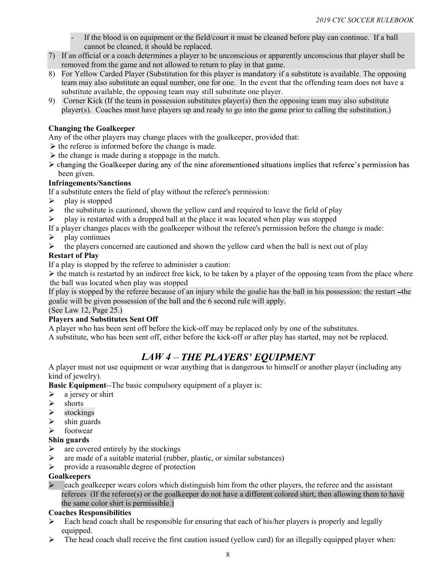- If the blood is on equipment or the field/court it must be cleaned before play can continue. If a ball cannot be cleaned, it should be replaced.
- 2019 CYC SOCCER RULEBOOK<br>lay can continue. If a ball<br>onscious that player shall be removed from the game and not allowed to return to play in that game.
- 2019 CYC SOCCER RULEBOOK<br>
17) If an official or a coach determines a player to be unconscious or apparently unconscious that player shall<br>
2019 CYC SOCCER RULEBOOK<br>
2019 CYC SOCCER RULEBOOK<br>
2019 CHC SOCCER RULEBOOK<br>
2019 8) For Yellow Carded Player (Substitution for this player is mandatory if a substitute is available. The opposing team may also substitute an equal number, one for one. In the event that the offending team does not have a substitute available, the opposing team may still substitute one player.
- 9) Corner Kick (If the team in possession substitutes player(s) then the opposing team may also substitute player(s). Coaches must have players up and ready to go into the game prior to calling the substitution.)

### Changing the Goalkeeper

Any of the other players may change places with the goalkeeper, provided that:

- $\triangleright$  the referee is informed before the change is made.
- $\triangleright$  the change is made during a stoppage in the match.
- $\triangleright$  changing the Goalkeeper during any of the nine aforementioned situations implies that referee's permission has been given.

### Infringements/Sanctions

If a substitute enters the field of play without the referee's permission:

- $\blacktriangleright$ play is stopped
- the substitute is cautioned, shown the yellow card and required to leave the field of play
- play is restarted with a dropped ball at the place it was located when play was stopped  $\blacktriangleright$

If a player changes places with the goalkeeper without the referee's permission before the change is made:

- play continues  $\blacktriangleright$
- $\blacktriangleright$ the players concerned are cautioned and shown the yellow card when the ball is next out of play

### Restart of Play

If a play is stopped by the referee to administer a caution:

 $\triangleright$  the match is restarted by an indirect free kick, to be taken by a player of the opposing team from the place where the ball was located when play was stopped

If play is stopped by the referee because of an injury while the goalie has the ball in his possession: the restart -the goalie will be given possession of the ball and the 6 second rule will apply.

(See Law 12, Page 25.)

### Players and Substitutes Sent Off

A player who has been sent off before the kick-off may be replaced only by one of the substitutes.

A substitute, who has been sent off, either before the kick-off or after play has started, may not be replaced.

## LAW 4 – THE PLAYERS' EQUIPMENT

A player must not use equipment or wear anything that is dangerous to himself or another player (including any kind of jewelry).

Basic Equipment--The basic compulsory equipment of a player is:

- a jersey or shirt ➤
- $\blacktriangleright$ shorts
- ➤ stockings
- shin guards ➤
- $\blacktriangleright$ footwear

#### Shin guards

- $\blacktriangleright$ are covered entirely by the stockings
- $\blacktriangleright$ are made of a suitable material (rubber, plastic, or similar substances)
- provide a reasonable degree of protection

### **Goalkeepers**

each goalkeeper wears colors which distinguish him from the other players, the referee and the assistant referees (If the referee(s) or the goalkeeper do not have a different colored shirt, then allowing them to have the same color shirt is permissible.)

### Coaches Responsibilities

- Each head coach shall be responsible for ensuring that each of his/her players is properly and legally equipped.
- $\blacktriangleright$ The head coach shall receive the first caution issued (yellow card) for an illegally equipped player when: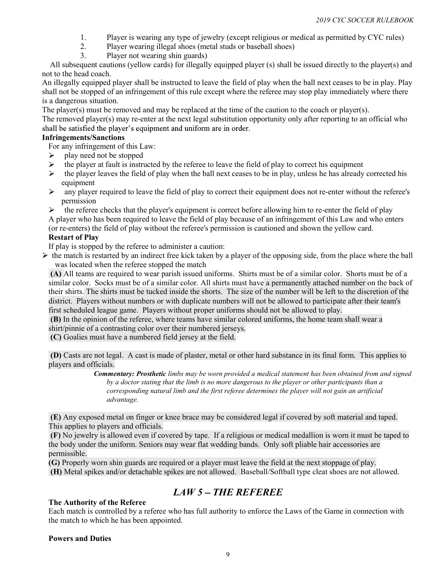- 2019 CYC SOCCER RULEBOOK<br>as permitted by CYC rules)<br>ed directly to the player(s) and 1. Player is wearing any type of jewelry (except religious or medical as permitted by CYC rules)
- 2. Player wearing illegal shoes (metal studs or baseball shoes)
- 

All subsequent cautions (yellow cards) for illegally equipped player (s) shall be issued directly to the player(s) and not to the head coach.

2019 CY<br>
2. Player is wearing any type of jewelry (except religious or medical as perm<br>
2. Player wearing illegal shoes (metal studs or baseball shoes)<br>
3. Player not wearing shin guards)<br>
quent cautions (yellow cards) for An illegally equipped player shall be instructed to leave the field of play when the ball next ceases to be in play. Play shall not be stopped of an infringement of this rule except where the referee may stop play immediately where there is a dangerous situation.

The player(s) must be removed and may be replaced at the time of the caution to the coach or player(s).

The removed player(s) may re-enter at the next legal substitution opportunity only after reporting to an official who shall be satisfied the player's equipment and uniform are in order.

#### Infringements/Sanctions

For any infringement of this Law:

- play need not be stopped
- the player at fault is instructed by the referee to leave the field of play to correct his equipment
- the player leaves the field of play when the ball next ceases to be in play, unless he has already corrected his  $\blacktriangleright$ equipment
- any player required to leave the field of play to correct their equipment does not re-enter without the referee's permission

 $\blacktriangleright$ the referee checks that the player's equipment is correct before allowing him to re-enter the field of play A player who has been required to leave the field of play because of an infringement of this Law and who enters (or re-enters) the field of play without the referee's permission is cautioned and shown the yellow card. Restart of Play

If play is stopped by the referee to administer a caution:

 $\triangleright$  the match is restarted by an indirect free kick taken by a player of the opposing side, from the place where the ball was located when the referee stopped the match

 (A) All teams are required to wear parish issued uniforms. Shirts must be of a similar color. Shorts must be of a similar color. Socks must be of a similar color. All shirts must have a permanently attached number on the back of their shirts. The shirts must be tucked inside the shorts. The size of the number will be left to the discretion of the district. Players without numbers or with duplicate numbers will not be allowed to participate after their team's first scheduled league game. Players without proper uniforms should not be allowed to play.

(B) In the opinion of the referee, where teams have similar colored uniforms, the home team shall wear a shirt/pinnie of a contrasting color over their numbered jerseys.

(C) Goalies must have a numbered field jersey at the field.

(D) Casts are not legal. A cast is made of plaster, metal or other hard substance in its final form. This applies to players and officials.

> Commentary: Prosthetic limbs may be worn provided a medical statement has been obtained from and signed by a doctor stating that the limb is no more dangerous to the player or other participants than a corresponding natural limb and the first referee determines the player will not gain an artificial advantage.

(E) Any exposed metal on finger or knee brace may be considered legal if covered by soft material and taped. This applies to players and officials.

(F) No jewelry is allowed even if covered by tape. If a religious or medical medallion is worn it must be taped to the body under the uniform. Seniors may wear flat wedding bands. Only soft pliable hair accessories are permissible.

(G) Properly worn shin guards are required or a player must leave the field at the next stoppage of play.

(H) Metal spikes and/or detachable spikes are not allowed. Baseball/Softball type cleat shoes are not allowed.

## $LAW$  5 - THE REFEREE

### The Authority of the Referee

Each match is controlled by a referee who has full authority to enforce the Laws of the Game in connection with the match to which he has been appointed.

#### Powers and Duties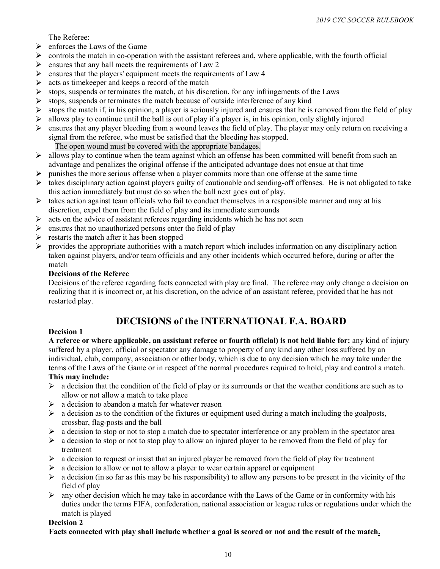The Referee:

- $\triangleright$  enforces the Laws of the Game
- $\triangleright$  controls the match in co-operation with the assistant referees and, where applicable, with the fourth official
- ensures that any ball meets the requirements of Law 2
- ensures that the players' equipment meets the requirements of Law 4 ➤
- acts as timekeeper and keeps a record of the match  $\blacktriangleright$
- stops, suspends or terminates the match, at his discretion, for any infringements of the Laws  $\blacktriangleright$
- stops, suspends or terminates the match because of outside interference of any kind  $\blacktriangleright$
- stops the match if, in his opinion, a player is seriously injured and ensures that he is removed from the field of play
- allows play to continue until the ball is out of play if a player is, in his opinion, only slightly injured
- ensures that any player bleeding from a wound leaves the field of play. The player may only return on receiving a signal from the referee, who must be satisfied that the bleeding has stopped.
	- The open wound must be covered with the appropriate bandages.
- $\triangleright$  allows play to continue when the team against which an offense has been committed will benefit from such an advantage and penalizes the original offense if the anticipated advantage does not ensue at that time
- punishes the more serious offense when a player commits more than one offense at the same time  $\blacktriangleright$
- $\triangleright$  takes disciplinary action against players guilty of cautionable and sending-off offenses. He is not obligated to take this action immediately but must do so when the ball next goes out of play.
- $\triangleright$  takes action against team officials who fail to conduct themselves in a responsible manner and may at his discretion, expel them from the field of play and its immediate surrounds
- $\triangleright$  acts on the advice of assistant referees regarding incidents which he has not seen
- $\triangleright$  ensures that no unauthorized persons enter the field of play
- restarts the match after it has been stopped
- provides the appropriate authorities with a match report which includes information on any disciplinary action ➤ taken against players, and/or team officials and any other incidents which occurred before, during or after the match

#### Decisions of the Referee

Decisions of the referee regarding facts connected with play are final. The referee may only change a decision on realizing that it is incorrect or, at his discretion, on the advice of an assistant referee, provided that he has not restarted play.

## DECISIONS of the INTERNATIONAL F.A. BOARD

#### Decision 1

A referee or where applicable, an assistant referee or fourth official) is not held liable for: any kind of injury suffered by a player, official or spectator any damage to property of any kind any other loss suffered by an individual, club, company, association or other body, which is due to any decision which he may take under the terms of the Laws of the Game or in respect of the normal procedures required to hold, play and control a match.

#### This may include:

- $\triangleright$  a decision that the condition of the field of play or its surrounds or that the weather conditions are such as to allow or not allow a match to take place
- $\triangleright$  a decision to abandon a match for whatever reason
- $\triangleright$  a decision as to the condition of the fixtures or equipment used during a match including the goalposts, crossbar, flag-posts and the ball
- $\triangleright$  a decision to stop or not to stop a match due to spectator interference or any problem in the spectator area
- $\triangleright$  a decision to stop or not to stop play to allow an injured player to be removed from the field of play for treatment
- $\triangleright$  a decision to request or insist that an injured player be removed from the field of play for treatment
- $\triangleright$  a decision to allow or not to allow a player to wear certain apparel or equipment
- $\triangleright$  a decision (in so far as this may be his responsibility) to allow any persons to be present in the vicinity of the field of play
- $\triangleright$  any other decision which he may take in accordance with the Laws of the Game or in conformity with his duties under the terms FIFA, confederation, national association or league rules or regulations under which the match is played

#### Decision 2

#### Facts connected with play shall include whether a goal is scored or not and the result of the match.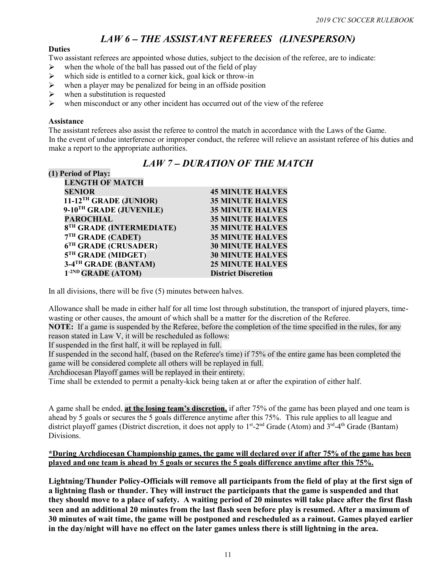## LAW 6 - THE ASSISTANT REFEREES (LINESPERSON)

#### **Duties**

Two assistant referees are appointed whose duties, subject to the decision of the referee, are to indicate:

- when the whole of the ball has passed out of the field of play
- which side is entitled to a corner kick, goal kick or throw-in ➤
- when a player may be penalized for being in an offside position  $\blacktriangleright$
- when a substitution is requested  $\blacktriangleright$
- $\blacktriangleright$ when misconduct or any other incident has occurred out of the view of the referee

#### Assistance

The assistant referees also assist the referee to control the match in accordance with the Laws of the Game. In the event of undue interference or improper conduct, the referee will relieve an assistant referee of his duties and make a report to the appropriate authorities.

| (1) Period of Play:                  |                            |
|--------------------------------------|----------------------------|
| <b>LENGTH OF MATCH</b>               |                            |
| <b>SENIOR</b>                        | <b>45 MINUTE HALVES</b>    |
| $11-12$ <sup>TH</sup> GRADE (JUNIOR) | <b>35 MINUTE HALVES</b>    |
| 9-10 <sup>TH</sup> GRADE (JUVENILE)  | <b>35 MINUTE HALVES</b>    |
| <b>PAROCHIAL</b>                     | <b>35 MINUTE HALVES</b>    |
| 8 <sup>TH</sup> GRADE (INTERMEDIATE) | <b>35 MINUTE HALVES</b>    |
| 7 <sup>TH</sup> GRADE (CADET)        | <b>35 MINUTE HALVES</b>    |
| 6 <sup>TH</sup> GRADE (CRUSADER)     | <b>30 MINUTE HALVES</b>    |
| 5 <sup>TH</sup> GRADE (MIDGET)       | <b>30 MINUTE HALVES</b>    |
| 3-4TH GRADE (BANTAM)                 | <b>25 MINUTE HALVES</b>    |
| 1 <sup>-2ND</sup> GRADE (ATOM)       | <b>District Discretion</b> |

## LAW 7 - DURATION OF THE MATCH

In all divisions, there will be five (5) minutes between halves.

Allowance shall be made in either half for all time lost through substitution, the transport of injured players, timewasting or other causes, the amount of which shall be a matter for the discretion of the Referee.

NOTE: If a game is suspended by the Referee, before the completion of the time specified in the rules, for any reason stated in Law V, it will be rescheduled as follows:

If suspended in the first half, it will be replayed in full.

If suspended in the second half, (based on the Referee's time) if 75% of the entire game has been completed the game will be considered complete all others will be replayed in full.

Archdiocesan Playoff games will be replayed in their entirety.

Time shall be extended to permit a penalty-kick being taken at or after the expiration of either half.

A game shall be ended, at the losing team's discretion, if after 75% of the game has been played and one team is ahead by 5 goals or secures the 5 goals difference anytime after this 75%. This rule applies to all league and district playoff games (District discretion, it does not apply to  $1^{st}$ - $2^{nd}$  Grade (Atom) and  $3^{rd}$ - $4^{th}$  Grade (Bantam) Divisions.

#### \*During Archdiocesan Championship games, the game will declared over if after 75% of the game has been played and one team is ahead by 5 goals or secures the 5 goals difference anytime after this 75%.

Lightning/Thunder Policy-Officials will remove all participants from the field of play at the first sign of a lightning flash or thunder. They will instruct the participants that the game is suspended and that they should move to a place of safety. A waiting period of 20 minutes will take place after the first flash seen and an additional 20 minutes from the last flash seen before play is resumed. After a maximum of 30 minutes of wait time, the game will be postponed and rescheduled as a rainout. Games played earlier in the day/night will have no effect on the later games unless there is still lightning in the area.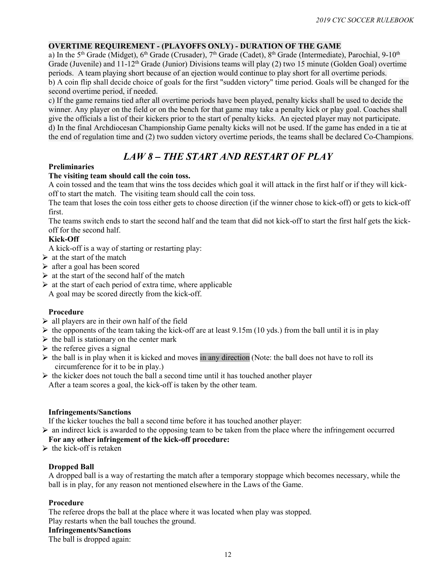#### OVERTIME REQUIREMENT - (PLAYOFFS ONLY) - DURATION OF THE GAME

2019 CYC SOCCER RULEBOOK<br> **GAME**<br>
mediate), Parochial, 9-10<sup>th</sup><br>
nute (Golden Goal) overtime a) In the 5<sup>th</sup> Grade (Midget), 6<sup>th</sup> Grade (Crusader), 7<sup>th</sup> Grade (Cadet), 8<sup>th</sup> Grade (Intermediate), Parochial, 9-10<sup>th</sup> Grade (Juvenile) and  $11$ -12<sup>th</sup> Grade (Junior) Divisions teams will play (2) two 15 minute (Golden Goal) overtime periods. A team playing short because of an ejection would continue to play short for all overtime periods. b) A coin flip shall decide choice of goals for the first "sudden victory" time period. Goals will be changed for the second overtime period, if needed.

c) If the game remains tied after all overtime periods have been played, penalty kicks shall be used to decide the winner. Any player on the field or on the bench for that game may take a penalty kick or play goal. Coaches shall give the officials a list of their kickers prior to the start of penalty kicks. An ejected player may not participate. d) In the final Archdiocesan Championship Game penalty kicks will not be used. If the game has ended in a tie at the end of regulation time and (2) two sudden victory overtime periods, the teams shall be declared Co-Champions.

## LAW 8 - THE START AND RESTART OF PLAY

#### Preliminaries

#### The visiting team should call the coin toss.

A coin tossed and the team that wins the toss decides which goal it will attack in the first half or if they will kickoff to start the match. The visiting team should call the coin toss.

The team that loses the coin toss either gets to choose direction (if the winner chose to kick-off) or gets to kick-off first.

The teams switch ends to start the second half and the team that did not kick-off to start the first half gets the kickoff for the second half.

#### Kick-Off

A kick-off is a way of starting or restarting play:

- $\triangleright$  at the start of the match
- $\triangleright$  after a goal has been scored
- $\triangleright$  at the start of the second half of the match
- $\triangleright$  at the start of each period of extra time, where applicable A goal may be scored directly from the kick-off.

#### Procedure

- $\triangleright$  all players are in their own half of the field
- $\triangleright$  the opponents of the team taking the kick-off are at least 9.15m (10 yds.) from the ball until it is in play
- $\triangleright$  the ball is stationary on the center mark
- $\triangleright$  the referee gives a signal
- $\triangleright$  the ball is in play when it is kicked and moves in any direction (Note: the ball does not have to roll its circumference for it to be in play.)
- $\triangleright$  the kicker does not touch the ball a second time until it has touched another player After a team scores a goal, the kick-off is taken by the other team.

#### Infringements/Sanctions

If the kicker touches the ball a second time before it has touched another player:

 $\triangleright$  an indirect kick is awarded to the opposing team to be taken from the place where the infringement occurred For any other infringement of the kick-off procedure:

 $\triangleright$  the kick-off is retaken

#### Dropped Ball

A dropped ball is a way of restarting the match after a temporary stoppage which becomes necessary, while the ball is in play, for any reason not mentioned elsewhere in the Laws of the Game.

#### Procedure

The referee drops the ball at the place where it was located when play was stopped.

#### Play restarts when the ball touches the ground.

#### Infringements/Sanctions

The ball is dropped again: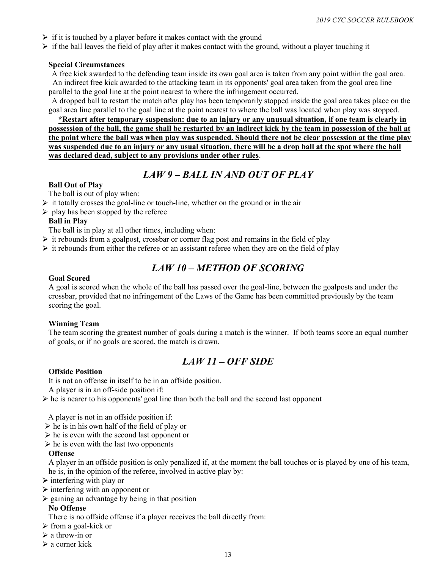- $\triangleright$  if it is touched by a player before it makes contact with the ground
- $\triangleright$  if the ball leaves the field of play after it makes contact with the ground, without a player touching it

#### Special Circumstances

 A free kick awarded to the defending team inside its own goal area is taken from any point within the goal area. An indirect free kick awarded to the attacking team in its opponents' goal area taken from the goal area line parallel to the goal line at the point nearest to where the infringement occurred.

 A dropped ball to restart the match after play has been temporarily stopped inside the goal area takes place on the goal area line parallel to the goal line at the point nearest to where the ball was located when play was stopped.

\*Restart after temporary suspension: due to an injury or any unusual situation, if one team is clearly in possession of the ball, the game shall be restarted by an indirect kick by the team in possession of the ball at the point where the ball was when play was suspended. Should there not be clear possession at the time play was suspended due to an injury or any usual situation, there will be a drop ball at the spot where the ball was declared dead, subject to any provisions under other rules.

## $LAW$  9 - RALL IN AND OUT OF PLAY

#### Ball Out of Play

The ball is out of play when:

- $\triangleright$  it totally crosses the goal-line or touch-line, whether on the ground or in the air
- $\triangleright$  play has been stopped by the referee

#### Ball in Play

The ball is in play at all other times, including when:

- $\triangleright$  it rebounds from a goalpost, crossbar or corner flag post and remains in the field of play
- $\triangleright$  it rebounds from either the referee or an assistant referee when they are on the field of play

## LAW 10 - METHOD OF SCORING

#### Goal Scored

A goal is scored when the whole of the ball has passed over the goal-line, between the goalposts and under the crossbar, provided that no infringement of the Laws of the Game has been committed previously by the team scoring the goal.

#### Winning Team

The team scoring the greatest number of goals during a match is the winner. If both teams score an equal number of goals, or if no goals are scored, the match is drawn.

## $LAW$  11 – OFF SIDE

#### Offside Position

It is not an offense in itself to be in an offside position.

A player is in an off-side position if:

 $\triangleright$  he is nearer to his opponents' goal line than both the ball and the second last opponent

A player is not in an offside position if:

- $\triangleright$  he is in his own half of the field of play or
- $\triangleright$  he is even with the second last opponent or
- $\triangleright$  he is even with the last two opponents

#### **Offense**

A player in an offside position is only penalized if, at the moment the ball touches or is played by one of his team, he is, in the opinion of the referee, involved in active play by:

- $\triangleright$  interfering with play or
- $\triangleright$  interfering with an opponent or
- $\geq$  gaining an advantage by being in that position

#### No Offense

There is no offside offense if a player receives the ball directly from:

- $\triangleright$  from a goal-kick or
- $\triangleright$  a throw-in or
- $\triangleright$  a corner kick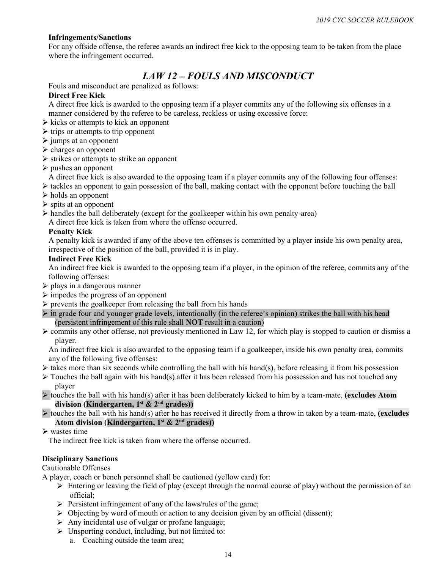#### Infringements/Sanctions

2019 CYC SOCCER RULEBOOK<br>1 to be taken from the place For any offside offense, the referee awards an indirect free kick to the opposing team to be taken from the place where the infringement occurred.

## LAW 12 - FOULS AND MISCONDUCT

Fouls and misconduct are penalized as follows:

#### Direct Free Kick

A direct free kick is awarded to the opposing team if a player commits any of the following six offenses in a manner considered by the referee to be careless, reckless or using excessive force:

- $\triangleright$  kicks or attempts to kick an opponent
- $\triangleright$  trips or attempts to trip opponent
- $\triangleright$  jumps at an opponent
- charges an opponent
- $\triangleright$  strikes or attempts to strike an opponent
- $\triangleright$  pushes an opponent

A direct free kick is also awarded to the opposing team if a player commits any of the following four offenses:

- $\triangleright$  tackles an opponent to gain possession of the ball, making contact with the opponent before touching the ball
- $\triangleright$  holds an opponent
- $\triangleright$  spits at an opponent
- $\triangleright$  handles the ball deliberately (except for the goalkeeper within his own penalty-area)
- A direct free kick is taken from where the offense occurred.

### Penalty Kick

A penalty kick is awarded if any of the above ten offenses is committed by a player inside his own penalty area, irrespective of the position of the ball, provided it is in play.

#### Indirect Free Kick

An indirect free kick is awarded to the opposing team if a player, in the opinion of the referee, commits any of the following offenses:

- $\triangleright$  plays in a dangerous manner
- $\triangleright$  impedes the progress of an opponent
- $\triangleright$  prevents the goalkeeper from releasing the ball from his hands
- $\triangleright$  in grade four and younger grade levels, intentionally (in the referee's opinion) strikes the ball with his head (persistent infringement of this rule shall NOT result in a caution)
- $\triangleright$  commits any other offense, not previously mentioned in Law 12, for which play is stopped to caution or dismiss a player.

An indirect free kick is also awarded to the opposing team if a goalkeeper, inside his own penalty area, commits any of the following five offenses:

- $\triangleright$  takes more than six seconds while controlling the ball with his hand(s), before releasing it from his possession
- $\triangleright$  Touches the ball again with his hand(s) after it has been released from his possession and has not touched any player
- $\triangleright$  touches the ball with his hand(s) after it has been deliberately kicked to him by a team-mate, (excludes Atom division (Kindergarten,  $1^{st}$  &  $2^{nd}$  grades))
- $\triangleright$  touches the ball with his hand(s) after he has received it directly from a throw in taken by a team-mate, (excludes Atom division (Kindergarten, 1<sup>st</sup> & 2<sup>nd</sup> grades))<br>  $\triangleright$  wastes time

The indirect free kick is taken from where the offense occurred.

### Disciplinary Sanctions

Cautionable Offenses

A player, coach or bench personnel shall be cautioned (yellow card) for:

- $\triangleright$  Entering or leaving the field of play (except through the normal course of play) without the permission of an official;
- $\triangleright$  Persistent infringement of any of the laws/rules of the game;
- $\triangleright$  Objecting by word of mouth or action to any decision given by an official (dissent);
- $\triangleright$  Any incidental use of vulgar or profane language;
- $\triangleright$  Unsporting conduct, including, but not limited to:
	- a. Coaching outside the team area;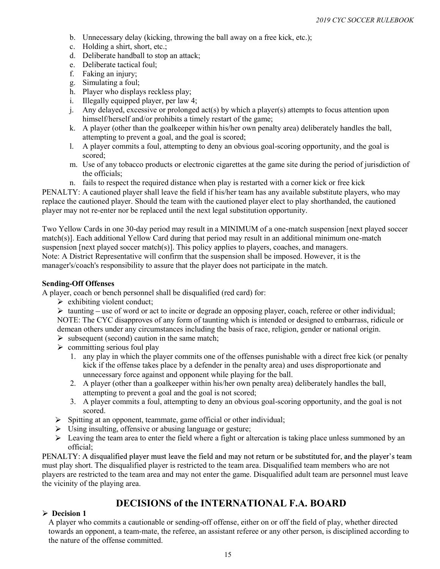- b. Unnecessary delay (kicking, throwing the ball away on a free kick, etc.); b. Unnecessary delay (kicking, throwing the ball away on a free kick, etc.);<br>
c. Holding a shirt, short, etc.;<br>
d. Deliberate handball to stop an attack;<br>
e. Deliberate tactical foul;<br>
f. Faking an injury;<br>
g. Simulating a
- c. Holding a shirt, short, etc.;
- 
- e. Deliberate tactical foul;
- f. Faking an injury;
- g. Simulating a foul;
- h. Player who displays reckless play;
- i. Illegally equipped player, per law 4;
- j. Any delayed, excessive or prolonged act(s) by which a player(s) attempts to focus attention upon himself/herself and/or prohibits a timely restart of the game;
- k. A player (other than the goalkeeper within his/her own penalty area) deliberately handles the ball, attempting to prevent a goal, and the goal is scored;
- l. A player commits a foul, attempting to deny an obvious goal-scoring opportunity, and the goal is scored;
- m. Use of any tobacco products or electronic cigarettes at the game site during the period of jurisdiction of the officials;
- n. fails to respect the required distance when play is restarted with a corner kick or free kick

PENALTY: A cautioned player shall leave the field if his/her team has any available substitute players, who may replace the cautioned player. Should the team with the cautioned player elect to play shorthanded, the cautioned player may not re-enter nor be replaced until the next legal substitution opportunity.

Two Yellow Cards in one 30-day period may result in a MINIMUM of a one-match suspension [next played soccer match(s)]. Each additional Yellow Card during that period may result in an additional minimum one-match suspension [next played soccer match(s)]. This policy applies to players, coaches, and managers. Note: A District Representative will confirm that the suspension shall be imposed. However, it is the manager's/coach's responsibility to assure that the player does not participate in the match.

#### Sending-Off Offenses

A player, coach or bench personnel shall be disqualified (red card) for:

- $\triangleright$  exhibiting violent conduct;
- $\triangleright$  taunting use of word or act to incite or degrade an opposing player, coach, referee or other individual; NOTE: The CYC disapproves of any form of taunting which is intended or designed to embarrass, ridicule or
- demean others under any circumstances including the basis of race, religion, gender or national origin.
- $\triangleright$  subsequent (second) caution in the same match;
- $\triangleright$  committing serious foul play
	- 1. any play in which the player commits one of the offenses punishable with a direct free kick (or penalty kick if the offense takes place by a defender in the penalty area) and uses disproportionate and unnecessary force against and opponent while playing for the ball.
	- 2. A player (other than a goalkeeper within his/her own penalty area) deliberately handles the ball, attempting to prevent a goal and the goal is not scored;
	- 3. A player commits a foul, attempting to deny an obvious goal-scoring opportunity, and the goal is not scored.
- $\triangleright$  Spitting at an opponent, teammate, game official or other individual;
- Using insulting, offensive or abusing language or gesture;
- $\triangleright$  Leaving the team area to enter the field where a fight or altercation is taking place unless summoned by an official;

PENALTY: A disqualified player must leave the field and may not return or be substituted for, and the player's team must play short. The disqualified player is restricted to the team area. Disqualified team members who are not players are restricted to the team area and may not enter the game. Disqualified adult team are personnel must leave the vicinity of the playing area.

## DECISIONS of the INTERNATIONAL F.A. BOARD

#### $\triangleright$  Decision 1

A player who commits a cautionable or sending-off offense, either on or off the field of play, whether directed towards an opponent, a team-mate, the referee, an assistant referee or any other person, is disciplined according to the nature of the offense committed.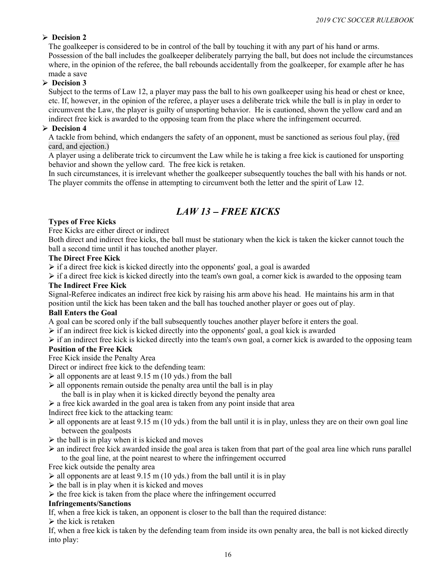### $\triangleright$  Decision 2

2019 CYC SOCCER RULEBOOK<br>of his hand or arms.<br>s not include the circumstances<br>ber, for example after he has The goalkeeper is considered to be in control of the ball by touching it with any part of his hand or arms. 2019 CYC SOCCER RULEBOOK<br>
The goalkeeper is considered to be in control of the ball by touching it with any part of his hand or arms.<br>
Possession of the ball includes the goalkeeper deliberately parrying the ball, but does where, in the opinion of the referee, the ball rebounds accidentally from the goalkeeper, for example after he has made a save

### $\triangleright$  Decision 3

Subject to the terms of Law 12, a player may pass the ball to his own goalkeeper using his head or chest or knee, etc. If, however, in the opinion of the referee, a player uses a deliberate trick while the ball is in play in order to circumvent the Law, the player is guilty of unsporting behavior. He is cautioned, shown the yellow card and an indirect free kick is awarded to the opposing team from the place where the infringement occurred.

#### $\triangleright$  Decision 4

A tackle from behind, which endangers the safety of an opponent, must be sanctioned as serious foul play, (red card, and ejection.)

A player using a deliberate trick to circumvent the Law while he is taking a free kick is cautioned for unsporting behavior and shown the yellow card. The free kick is retaken.

In such circumstances, it is irrelevant whether the goalkeeper subsequently touches the ball with his hands or not. The player commits the offense in attempting to circumvent both the letter and the spirit of Law 12.

## $LAW$  13 – FREE KICKS

#### Types of Free Kicks

Free Kicks are either direct or indirect

Both direct and indirect free kicks, the ball must be stationary when the kick is taken the kicker cannot touch the ball a second time until it has touched another player.

#### The Direct Free Kick

 $\triangleright$  if a direct free kick is kicked directly into the opponents' goal, a goal is awarded

 $\triangleright$  if a direct free kick is kicked directly into the team's own goal, a corner kick is awarded to the opposing team

#### The Indirect Free Kick

Signal-Referee indicates an indirect free kick by raising his arm above his head. He maintains his arm in that position until the kick has been taken and the ball has touched another player or goes out of play.

#### Ball Enters the Goal

A goal can be scored only if the ball subsequently touches another player before it enters the goal.

- $\triangleright$  if an indirect free kick is kicked directly into the opponents' goal, a goal kick is awarded
- $\triangleright$  if an indirect free kick is kicked directly into the team's own goal, a corner kick is awarded to the opposing team

#### Position of the Free Kick

Free Kick inside the Penalty Area

Direct or indirect free kick to the defending team:

- $\ge$  all opponents are at least 9.15 m (10 yds.) from the ball
- $\triangleright$  all opponents remain outside the penalty area until the ball is in play

the ball is in play when it is kicked directly beyond the penalty area

 $\triangleright$  a free kick awarded in the goal area is taken from any point inside that area

Indirect free kick to the attacking team:

- $\ge$  all opponents are at least 9.15 m (10 yds.) from the ball until it is in play, unless they are on their own goal line between the goalposts
- $\triangleright$  the ball is in play when it is kicked and moves
- $\geq$  an indirect free kick awarded inside the goal area is taken from that part of the goal area line which runs parallel to the goal line, at the point nearest to where the infringement occurred

Free kick outside the penalty area

- $\ge$  all opponents are at least 9.15 m (10 yds.) from the ball until it is in play
- $\triangleright$  the ball is in play when it is kicked and moves
- $\triangleright$  the free kick is taken from the place where the infringement occurred

#### Infringements/Sanctions

If, when a free kick is taken, an opponent is closer to the ball than the required distance:

 $\triangleright$  the kick is retaken

If, when a free kick is taken by the defending team from inside its own penalty area, the ball is not kicked directly into play: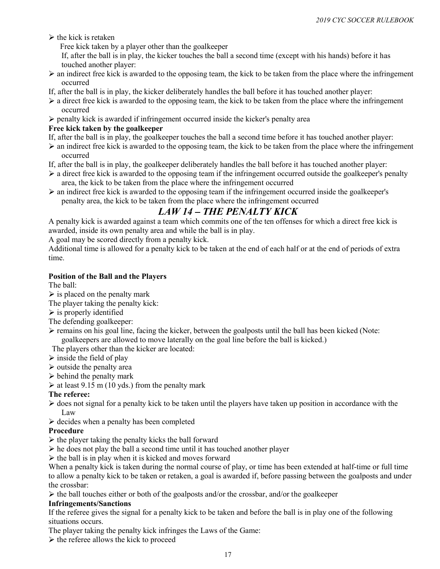$\triangleright$  the kick is retaken

Free kick taken by a player other than the goalkeeper

2019 CYC SOCCER RULEBOOK<br>his hands) before it has If, after the ball is in play, the kicker touches the ball a second time (except with his hands) before it has touched another player:

- $\geq$  an indirect free kick is awarded to the opposing team, the kick to be taken from the place where the infringement occurred
- If, after the ball is in play, the kicker deliberately handles the ball before it has touched another player:
- $\triangleright$  a direct free kick is awarded to the opposing team, the kick to be taken from the place where the infringement occurred
- $\triangleright$  penalty kick is awarded if infringement occurred inside the kicker's penalty area

#### Free kick taken by the goalkeeper

- If, after the ball is in play, the goalkeeper touches the ball a second time before it has touched another player:
- $\triangleright$  an indirect free kick is awarded to the opposing team, the kick to be taken from the place where the infringement occurred
- If, after the ball is in play, the goalkeeper deliberately handles the ball before it has touched another player:
- $\triangleright$  a direct free kick is awarded to the opposing team if the infringement occurred outside the goalkeeper's penalty area, the kick to be taken from the place where the infringement occurred
- $\triangleright$  an indirect free kick is awarded to the opposing team if the infringement occurred inside the goalkeeper's penalty area, the kick to be taken from the place where the infringement occurred

## LAW 14 - THE PENALTY KICK

A penalty kick is awarded against a team which commits one of the ten offenses for which a direct free kick is awarded, inside its own penalty area and while the ball is in play.

A goal may be scored directly from a penalty kick.

Additional time is allowed for a penalty kick to be taken at the end of each half or at the end of periods of extra time.

#### Position of the Ball and the Players

The ball:

- $\triangleright$  is placed on the penalty mark
- The player taking the penalty kick:
- $\triangleright$  is properly identified

The defending goalkeeper:

- $\triangleright$  remains on his goal line, facing the kicker, between the goalposts until the ball has been kicked (Note: goalkeepers are allowed to move laterally on the goal line before the ball is kicked.)
- The players other than the kicker are located:
- $\triangleright$  inside the field of play
- $\triangleright$  outside the penalty area
- $\triangleright$  behind the penalty mark
- $\ge$  at least 9.15 m (10 yds.) from the penalty mark

#### The referee:

- $\triangleright$  does not signal for a penalty kick to be taken until the players have taken up position in accordance with the Law
- $\triangleright$  decides when a penalty has been completed

### Procedure

- $\triangleright$  the player taking the penalty kicks the ball forward
- $\triangleright$  he does not play the ball a second time until it has touched another player
- $\triangleright$  the ball is in play when it is kicked and moves forward

When a penalty kick is taken during the normal course of play, or time has been extended at half-time or full time to allow a penalty kick to be taken or retaken, a goal is awarded if, before passing between the goalposts and under the crossbar:

 $\triangleright$  the ball touches either or both of the goalposts and/or the crossbar, and/or the goalkeeper

#### Infringements/Sanctions

If the referee gives the signal for a penalty kick to be taken and before the ball is in play one of the following situations occurs.

The player taking the penalty kick infringes the Laws of the Game:

 $\triangleright$  the referee allows the kick to proceed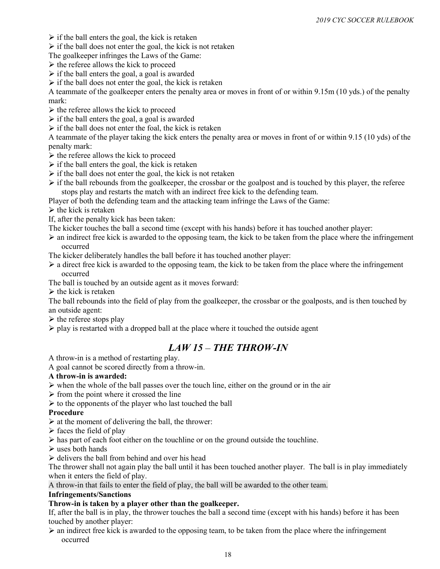$\triangleright$  if the ball enters the goal, the kick is retaken

 $\triangleright$  if the ball does not enter the goal, the kick is not retaken

The goalkeeper infringes the Laws of the Game:

- $\triangleright$  the referee allows the kick to proceed
- $\triangleright$  if the ball enters the goal, a goal is awarded

 $\triangleright$  if the ball does not enter the goal, the kick is retaken

A teammate of the goalkeeper enters the penalty area or moves in front of or within 9.15m (10 yds.) of the penalty mark:

- $\triangleright$  the referee allows the kick to proceed
- $\triangleright$  if the ball enters the goal, a goal is awarded
- $\triangleright$  if the ball does not enter the foal, the kick is retaken

A teammate of the player taking the kick enters the penalty area or moves in front of or within 9.15 (10 yds) of the penalty mark:

- $\triangleright$  the referee allows the kick to proceed
- $\triangleright$  if the ball enters the goal, the kick is retaken
- $\triangleright$  if the ball does not enter the goal, the kick is not retaken
- $\triangleright$  if the ball rebounds from the goalkeeper, the crossbar or the goalpost and is touched by this player, the referee stops play and restarts the match with an indirect free kick to the defending team.

Player of both the defending team and the attacking team infringe the Laws of the Game:

 $\triangleright$  the kick is retaken

If, after the penalty kick has been taken:

The kicker touches the ball a second time (except with his hands) before it has touched another player:

 $\triangleright$  an indirect free kick is awarded to the opposing team, the kick to be taken from the place where the infringement occurred

The kicker deliberately handles the ball before it has touched another player:

 $\triangleright$  a direct free kick is awarded to the opposing team, the kick to be taken from the place where the infringement occurred

The ball is touched by an outside agent as it moves forward:

 $\triangleright$  the kick is retaken

The ball rebounds into the field of play from the goalkeeper, the crossbar or the goalposts, and is then touched by an outside agent:

- $\triangleright$  the referee stops play
- $\triangleright$  play is restarted with a dropped ball at the place where it touched the outside agent

## $LAW$  15 - THE THROW-IN

A throw-in is a method of restarting play.

A goal cannot be scored directly from a throw-in.

#### A throw-in is awarded:

- $\triangleright$  when the whole of the ball passes over the touch line, either on the ground or in the air
- $\triangleright$  from the point where it crossed the line

 $\triangleright$  to the opponents of the player who last touched the ball

### Procedure

- $\triangleright$  at the moment of delivering the ball, the thrower:
- $\triangleright$  faces the field of play
- $\triangleright$  has part of each foot either on the touchline or on the ground outside the touchline.
- $\triangleright$  uses both hands
- $\triangleright$  delivers the ball from behind and over his head

The thrower shall not again play the ball until it has been touched another player. The ball is in play immediately when it enters the field of play.

A throw-in that fails to enter the field of play, the ball will be awarded to the other team.

#### Infringements/Sanctions

### Throw-in is taken by a player other than the goalkeeper.

If, after the ball is in play, the thrower touches the ball a second time (except with his hands) before it has been touched by another player:

 $\triangleright$  an indirect free kick is awarded to the opposing team, to be taken from the place where the infringement occurred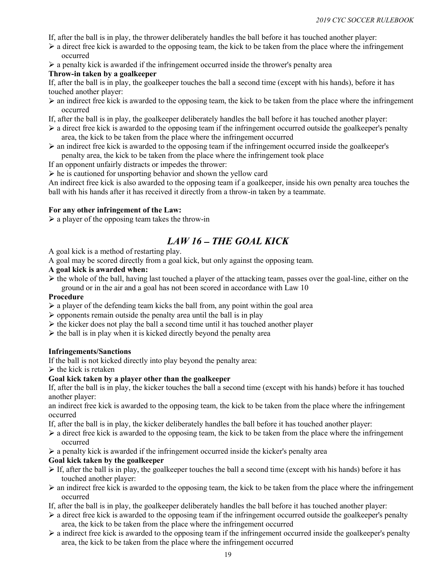If, after the ball is in play, the thrower deliberately handles the ball before it has touched another player:

- 2019 CYC SOCCER RULEBOOK<br>hed another player:<br>lace where the infringement<br>rarea  $\triangleright$  a direct free kick is awarded to the opposing team, the kick to be taken from the place where the infringement occurred
- $\triangleright$  a penalty kick is awarded if the infringement occurred inside the thrower's penalty area

#### Throw-in taken by a goalkeeper

If, after the ball is in play, the goalkeeper touches the ball a second time (except with his hands), before it has touched another player:

- $\triangleright$  an indirect free kick is awarded to the opposing team, the kick to be taken from the place where the infringement occurred
- If, after the ball is in play, the goalkeeper deliberately handles the ball before it has touched another player:
- $\triangleright$  a direct free kick is awarded to the opposing team if the infringement occurred outside the goalkeeper's penalty area, the kick to be taken from the place where the infringement occurred
- $\triangleright$  an indirect free kick is awarded to the opposing team if the infringement occurred inside the goalkeeper's penalty area, the kick to be taken from the place where the infringement took place
- If an opponent unfairly distracts or impedes the thrower:
- $\triangleright$  he is cautioned for unsporting behavior and shown the yellow card

An indirect free kick is also awarded to the opposing team if a goalkeeper, inside his own penalty area touches the ball with his hands after it has received it directly from a throw-in taken by a teammate.

#### For any other infringement of the Law:

 $\triangleright$  a player of the opposing team takes the throw-in

## LAW 16 - THE GOAL KICK

A goal kick is a method of restarting play.

A goal may be scored directly from a goal kick, but only against the opposing team.

#### A goal kick is awarded when:

 $\triangleright$  the whole of the ball, having last touched a player of the attacking team, passes over the goal-line, either on the ground or in the air and a goal has not been scored in accordance with Law 10

#### Procedure

- $\geq$  a player of the defending team kicks the ball from, any point within the goal area
- $\triangleright$  opponents remain outside the penalty area until the ball is in play
- $\triangleright$  the kicker does not play the ball a second time until it has touched another player
- $\triangleright$  the ball is in play when it is kicked directly beyond the penalty area

#### Infringements/Sanctions

If the ball is not kicked directly into play beyond the penalty area:

 $\triangleright$  the kick is retaken

#### Goal kick taken by a player other than the goalkeeper

If, after the ball is in play, the kicker touches the ball a second time (except with his hands) before it has touched another player:

an indirect free kick is awarded to the opposing team, the kick to be taken from the place where the infringement occurred

- If, after the ball is in play, the kicker deliberately handles the ball before it has touched another player:
- $\triangleright$  a direct free kick is awarded to the opposing team, the kick to be taken from the place where the infringement occurred
- $\triangleright$  a penalty kick is awarded if the infringement occurred inside the kicker's penalty area

#### Goal kick taken by the goalkeeper

- $\triangleright$  If, after the ball is in play, the goalkeeper touches the ball a second time (except with his hands) before it has touched another player:
- $\triangleright$  an indirect free kick is awarded to the opposing team, the kick to be taken from the place where the infringement occurred
- If, after the ball is in play, the goalkeeper deliberately handles the ball before it has touched another player:
- $\triangleright$  a direct free kick is awarded to the opposing team if the infringement occurred outside the goalkeeper's penalty area, the kick to be taken from the place where the infringement occurred
- $\triangleright$  a indirect free kick is awarded to the opposing team if the infringement occurred inside the goalkeeper's penalty area, the kick to be taken from the place where the infringement occurred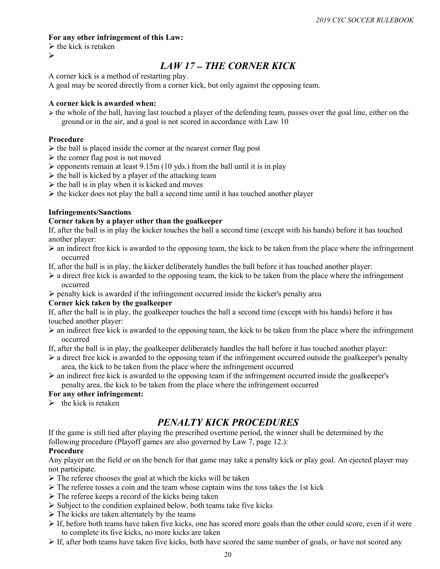#### For any other infringement of this Law:

#### $\triangleright$  the kick is retaken

 $\blacktriangleright$ 

## LAW 17 - THE CORNER KICK

A corner kick is a method of restarting play.

A goal may be scored directly from a corner kick, but only against the opposing team.

#### A corner kick is awarded when:

 $\triangleright$  the whole of the ball, having last touched a player of the defending team, passes over the goal line, either on the ground or in the air, and a goal is not scored in accordance with Law 10

#### Procedure

- $\triangleright$  the ball is placed inside the corner at the nearest corner flag post
- $\triangleright$  the corner flag post is not moved
- $\geq$  opponents remain at least 9.15m (10 yds.) from the ball until it is in play
- $\triangleright$  the ball is kicked by a player of the attacking team
- $\triangleright$  the ball is in play when it is kicked and moves
- $\triangleright$  the kicker does not play the ball a second time until it has touched another player

#### Infringements/Sanctions

#### Corner taken by a player other than the goalkeeper

If, after the ball is in play the kicker touches the ball a second time (except with his hands) before it has touched another player:

- $\triangleright$  an indirect free kick is awarded to the opposing team, the kick to be taken from the place where the infringement occurred
- If, after the ball is in play, the kicker deliberately handles the ball before it has touched another player:
- $\triangleright$  a direct free kick is awarded to the opposing team, the kick to be taken from the place where the infringement occurred
- $\triangleright$  penalty kick is awarded if the infringement occurred inside the kicker's penalty area

#### Corner kick taken by the goalkeeper

If, after the ball is in play, the goalkeeper touches the ball a second time (except with his hands) before it has touched another player:

- $\geq$  an indirect free kick is awarded to the opposing team, the kick to be taken from the place where the infringement occurred
- If, after the ball is in play, the goalkeeper deliberately handles the ball before it has touched another player:
- $\triangleright$  a direct free kick is awarded to the opposing team if the infringement occurred outside the goalkeeper's penalty area, the kick to be taken from the place where the infringement occurred
- $\triangleright$  an indirect free kick is awarded to the opposing team if the infringement occurred inside the goalkeeper's penalty area, the kick to be taken from the place where the infringement occurred

### For any other infringement:

 $\triangleright$  the kick is retaken

## PENALTY KICK PROCEDURES

If the game is still tied after playing the prescribed overtime period, the winner shall be determined by the following procedure (Playoff games are also governed by Law 7, page 12.):

### Procedure

Any player on the field or on the bench for that game may take a penalty kick or play goal. An ejected player may not participate.

- $\triangleright$  The referee chooses the goal at which the kicks will be taken
- $\triangleright$  The referee tosses a coin and the team whose captain wins the toss takes the 1st kick
- $\triangleright$  The referee keeps a record of the kicks being taken
- $\triangleright$  Subject to the condition explained below, both teams take five kicks
- $\triangleright$  The kicks are taken alternately by the teams
- $\triangleright$  If, before both teams have taken five kicks, one has scored more goals than the other could score, even if it were to complete its five kicks, no more kicks are taken
- $\triangleright$  If, after both teams have taken five kicks, both have scored the same number of goals, or have not scored any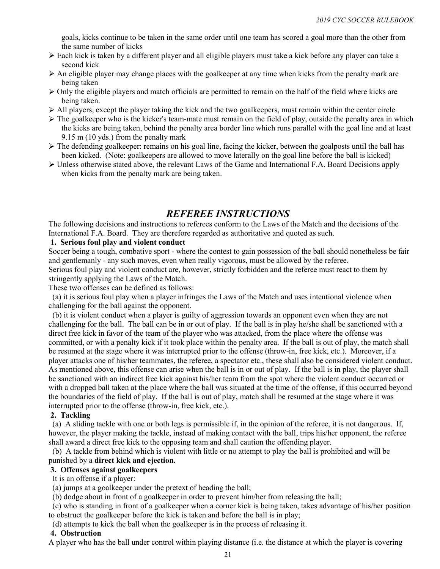2019 CYC SOCCER RULEBOOK<br>
boal more than the other from<br>
efore any player can take a goals, kicks continue to be taken in the same order until one team has scored a goal more than the other from the same number of kicks

- Each kick is taken by a different player and all eligible players must take a kick before any player can take a second kick
- $\triangleright$  An eligible player may change places with the goalkeeper at any time when kicks from the penalty mark are being taken
- $\triangleright$  Only the eligible players and match officials are permitted to remain on the half of the field where kicks are being taken.
- $\triangleright$  All players, except the player taking the kick and the two goalkeepers, must remain within the center circle
- $\triangleright$  The goalkeeper who is the kicker's team-mate must remain on the field of play, outside the penalty area in which the kicks are being taken, behind the penalty area border line which runs parallel with the goal line and at least 9.15 m (10 yds.) from the penalty mark
- $\triangleright$  The defending goalkeeper: remains on his goal line, facing the kicker, between the goalposts until the ball has been kicked. (Note: goalkeepers are allowed to move laterally on the goal line before the ball is kicked)
- $\triangleright$  Unless otherwise stated above, the relevant Laws of the Game and International F.A. Board Decisions apply when kicks from the penalty mark are being taken.

## REFEREE INSTRUCTIONS

The following decisions and instructions to referees conform to the Laws of the Match and the decisions of the International F.A. Board. They are therefore regarded as authoritative and quoted as such.

#### 1. Serious foul play and violent conduct

Soccer being a tough, combative sport - where the contest to gain possession of the ball should nonetheless be fair and gentlemanly - any such moves, even when really vigorous, must be allowed by the referee.

Serious foul play and violent conduct are, however, strictly forbidden and the referee must react to them by stringently applying the Laws of the Match.

These two offenses can be defined as follows:

 (a) it is serious foul play when a player infringes the Laws of the Match and uses intentional violence when challenging for the ball against the opponent.

 (b) it is violent conduct when a player is guilty of aggression towards an opponent even when they are not challenging for the ball. The ball can be in or out of play. If the ball is in play he/she shall be sanctioned with a direct free kick in favor of the team of the player who was attacked, from the place where the offense was committed, or with a penalty kick if it took place within the penalty area. If the ball is out of play, the match shall be resumed at the stage where it was interrupted prior to the offense (throw-in, free kick, etc.). Moreover, if a player attacks one of his/her teammates, the referee, a spectator etc., these shall also be considered violent conduct. As mentioned above, this offense can arise when the ball is in or out of play. If the ball is in play, the player shall be sanctioned with an indirect free kick against his/her team from the spot where the violent conduct occurred or with a dropped ball taken at the place where the ball was situated at the time of the offense, if this occurred beyond the boundaries of the field of play. If the ball is out of play, match shall be resumed at the stage where it was interrupted prior to the offense (throw-in, free kick, etc.).

### 2. Tackling

 (a) A sliding tackle with one or both legs is permissible if, in the opinion of the referee, it is not dangerous. If, however, the player making the tackle, instead of making contact with the ball, trips his/her opponent, the referee shall award a direct free kick to the opposing team and shall caution the offending player.

 (b) A tackle from behind which is violent with little or no attempt to play the ball is prohibited and will be punished by a direct kick and ejection.

## 3. Offenses against goalkeepers

It is an offense if a player:

(a) jumps at a goalkeeper under the pretext of heading the ball;

(b) dodge about in front of a goalkeeper in order to prevent him/her from releasing the ball;

 (c) who is standing in front of a goalkeeper when a corner kick is being taken, takes advantage of his/her position to obstruct the goalkeeper before the kick is taken and before the ball is in play;

(d) attempts to kick the ball when the goalkeeper is in the process of releasing it.

#### 4. Obstruction

A player who has the ball under control within playing distance (i.e. the distance at which the player is covering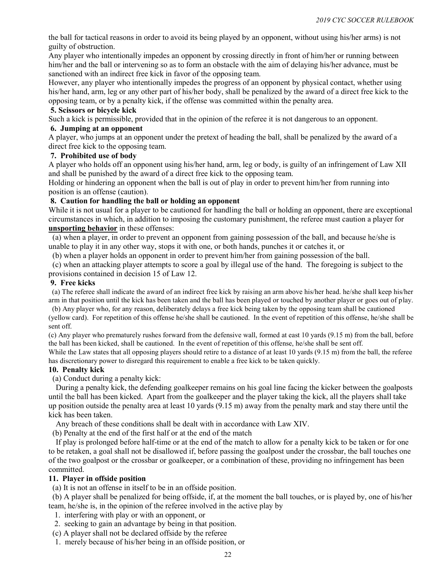2019 CYC SOCCER RULEBOOK<br>t using his/her arms) is not<br>im/her or running between<br>g his/her advance, must be the ball for tactical reasons in order to avoid its being played by an opponent, without using his/her arms) is not guilty of obstruction.

Any player who intentionally impedes an opponent by crossing directly in front of him/her or running between him/her and the ball or intervening so as to form an obstacle with the aim of delaying his/her advance, must be sanctioned with an indirect free kick in favor of the opposing team.

However, any player who intentionally impedes the progress of an opponent by physical contact, whether using his/her hand, arm, leg or any other part of his/her body, shall be penalized by the award of a direct free kick to the opposing team, or by a penalty kick, if the offense was committed within the penalty area.

#### 5. Scissors or bicycle kick

Such a kick is permissible, provided that in the opinion of the referee it is not dangerous to an opponent.

#### 6. Jumping at an opponent

A player, who jumps at an opponent under the pretext of heading the ball, shall be penalized by the award of a direct free kick to the opposing team.

#### 7. Prohibited use of body

A player who holds off an opponent using his/her hand, arm, leg or body, is guilty of an infringement of Law XII and shall be punished by the award of a direct free kick to the opposing team.

Holding or hindering an opponent when the ball is out of play in order to prevent him/her from running into position is an offense (caution).

#### 8. Caution for handling the ball or holding an opponent

While it is not usual for a player to be cautioned for handling the ball or holding an opponent, there are exceptional circumstances in which, in addition to imposing the customary punishment, the referee must caution a player for unsporting behavior in these offenses:

 (a) when a player, in order to prevent an opponent from gaining possession of the ball, and because he/she is unable to play it in any other way, stops it with one, or both hands, punches it or catches it, or

(b) when a player holds an opponent in order to prevent him/her from gaining possession of the ball.

 (c) when an attacking player attempts to score a goal by illegal use of the hand. The foregoing is subject to the provisions contained in decision 15 of Law 12.

#### 9. Free kicks

 (a) The referee shall indicate the award of an indirect free kick by raising an arm above his/her head. he/she shall keep his/her arm in that position until the kick has been taken and the ball has been played or touched by another player or goes out of play.

 (b) Any player who, for any reason, deliberately delays a free kick being taken by the opposing team shall be cautioned (yellow card). For repetition of this offense he/she shall be cautioned. In the event of repetition of this offense, he/she shall be sent off.

(c) Any player who prematurely rushes forward from the defensive wall, formed at east 10 yards (9.15 m) from the ball, before the ball has been kicked, shall be cautioned. In the event of repetition of this offense, he/she shall be sent off.

While the Law states that all opposing players should retire to a distance of at least 10 yards (9.15 m) from the ball, the referee has discretionary power to disregard this requirement to enable a free kick to be taken quickly.

#### 10. Penalty kick

(a) Conduct during a penalty kick:

 During a penalty kick, the defending goalkeeper remains on his goal line facing the kicker between the goalposts until the ball has been kicked. Apart from the goalkeeper and the player taking the kick, all the players shall take up position outside the penalty area at least 10 yards (9.15 m) away from the penalty mark and stay there until the kick has been taken.

Any breach of these conditions shall be dealt with in accordance with Law XIV.

(b) Penalty at the end of the first half or at the end of the match

 If play is prolonged before half-time or at the end of the match to allow for a penalty kick to be taken or for one to be retaken, a goal shall not be disallowed if, before passing the goalpost under the crossbar, the ball touches one of the two goalpost or the crossbar or goalkeeper, or a combination of these, providing no infringement has been committed.

#### 11. Player in offside position

(a) It is not an offense in itself to be in an offside position.

 (b) A player shall be penalized for being offside, if, at the moment the ball touches, or is played by, one of his/her team, he/she is, in the opinion of the referee involved in the active play by

- 1. interfering with play or with an opponent, or
- 2. seeking to gain an advantage by being in that position.
- (c) A player shall not be declared offside by the referee
- 1. merely because of his/her being in an offside position, or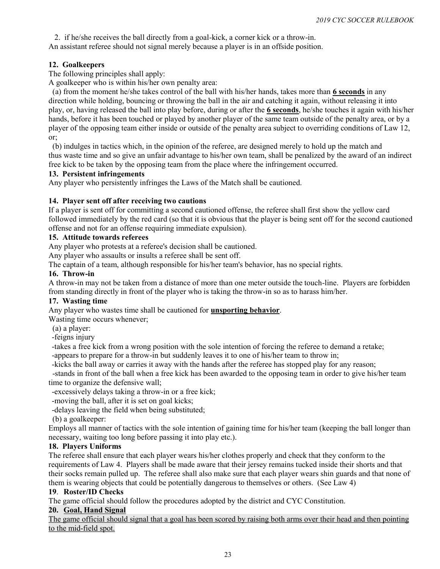2. if he/she receives the ball directly from a goal-kick, a corner kick or a throw-in.

An assistant referee should not signal merely because a player is in an offside position.

#### 12. Goalkeepers

The following principles shall apply:

A goalkeeper who is within his/her own penalty area:

 (a) from the moment he/she takes control of the ball with his/her hands, takes more than 6 seconds in any direction while holding, bouncing or throwing the ball in the air and catching it again, without releasing it into play, or, having released the ball into play before, during or after the 6 seconds, he/she touches it again with his/her hands, before it has been touched or played by another player of the same team outside of the penalty area, or by a player of the opposing team either inside or outside of the penalty area subject to overriding conditions of Law 12, or;

 (b) indulges in tactics which, in the opinion of the referee, are designed merely to hold up the match and thus waste time and so give an unfair advantage to his/her own team, shall be penalized by the award of an indirect free kick to be taken by the opposing team from the place where the infringement occurred.

#### 13. Persistent infringements

Any player who persistently infringes the Laws of the Match shall be cautioned.

#### 14. Player sent off after receiving two cautions

If a player is sent off for committing a second cautioned offense, the referee shall first show the yellow card followed immediately by the red card (so that it is obvious that the player is being sent off for the second cautioned offense and not for an offense requiring immediate expulsion).

#### 15. Attitude towards referees

Any player who protests at a referee's decision shall be cautioned.

Any player who assaults or insults a referee shall be sent off.

The captain of a team, although responsible for his/her team's behavior, has no special rights.

#### 16. Throw-in

A throw-in may not be taken from a distance of more than one meter outside the touch-line. Players are forbidden from standing directly in front of the player who is taking the throw-in so as to harass him/her.

#### 17. Wasting time

Any player who wastes time shall be cautioned for **unsporting behavior**. Wasting time occurs whenever;

(a) a player:

-feigns injury

-takes a free kick from a wrong position with the sole intention of forcing the referee to demand a retake;

-appears to prepare for a throw-in but suddenly leaves it to one of his/her team to throw in;

-kicks the ball away or carries it away with the hands after the referee has stopped play for any reason;

 -stands in front of the ball when a free kick has been awarded to the opposing team in order to give his/her team time to organize the defensive wall;

-excessively delays taking a throw-in or a free kick;

-moving the ball, after it is set on goal kicks;

-delays leaving the field when being substituted;

(b) a goalkeeper:

Employs all manner of tactics with the sole intention of gaining time for his/her team (keeping the ball longer than necessary, waiting too long before passing it into play etc.).

#### 18. Players Uniforms

The referee shall ensure that each player wears his/her clothes properly and check that they conform to the requirements of Law 4. Players shall be made aware that their jersey remains tucked inside their shorts and that their socks remain pulled up. The referee shall also make sure that each player wears shin guards and that none of them is wearing objects that could be potentially dangerous to themselves or others. (See Law 4)

#### 19. Roster/ID Checks

The game official should follow the procedures adopted by the district and CYC Constitution.

#### 20. Goal, Hand Signal

The game official should signal that a goal has been scored by raising both arms over their head and then pointing to the mid-field spot.